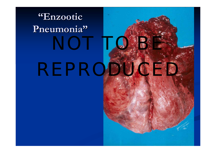# **"Enzootic Enzootic Pneumonia Pneumonia"**

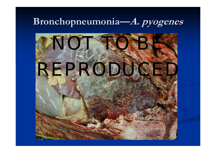### **Bronchopneumonia Bronchopneumonia—A. pyogenes pyogenes**

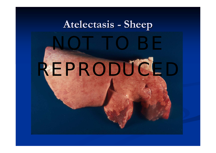#### **Atelectasis Atelectasis -Sheep**

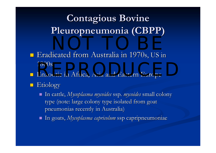## **Contagious Bovine Pleuropneumonia Pleuropneumonia (CBPP)**

- Eradicated from Australia in 1970s, US in 1800s 1800s<br>Enzootic in Africa Asia and Eastern Europe
- p. **E** Enzootic in Africa, Asia and Eastern Europe
- p. **Etiology** 
	- In cattle, In cattle, *Mycoplasma Mycoplasma mycoides mycoides* ssp. *mycoides mycoides* small colony small colony type (note: large colony type isolated from goat pneumonias recently in Australia)
	- In goats, In goats, *Mycoplasma Mycoplasma capricolum capricolum* ssp capripneumoniae capripneumoniae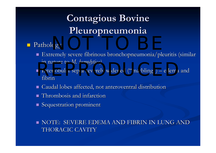## **Contagious Bovine Pleuropneumonia Pleuropneumonia**

#### p. Pathology Pathology  $\log y$

- $\blacksquare$  Extremely severe fibrinous bronchopneumonia/pleuritis (similar in nature to *M. hemolytica*)
- $\blacksquare$  Interlobular septa severely widened ("marbling")  $\blacksquare$ – edema and  $\overline{\phantom{a}}$ fibrinInterlobular septa severely widened ("marbling") – edema an
- $\blacksquare$  Caudal lobes affected, not anteroventral distribution
- $\blacksquare$  Thrombosis and infarction
- Sequestration prominent

 $\blacksquare$  NOTE: SEVERE EDEMA AND FIBRIN IN LUNG AND  $\blacksquare$ THORACIC CAVITY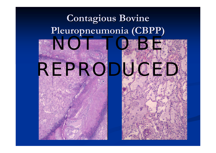## **Contagious Bovine Pleuropneumonia Pleuropneumonia (CBPP)**



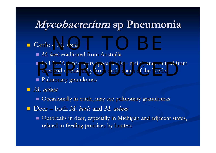## **Mycobacterium Mycobacterium sp Pneumonia sp Pneumonia**

#### p. Cattle – *M. bovis*  $-M.$  bovis

- $\blacksquare$  *M. bovis* eradicated from Australia
- $\blacksquare$  In US, *M. bovis* occurs sporadically  $\cdot$  $-$  mainly transmitted from In US, *NI. bovis* occurs sporadically – mainly transmitted from deer and occasionally from cattle south of the border.
- $\blacksquare$  Pulmonary granulomas

*M. avium*

- $\blacksquare$  Occasionally in cattle, may see pulmonary granulomas
- Deer both *M. bovis* and *M. avium*
	- $\blacksquare$  Outbreaks in deer, especially in Michigan and adjacent states, related to feeding practices by hunters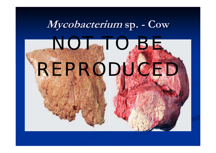#### **Mycobacterium Mycobacterium sp. - Cow**

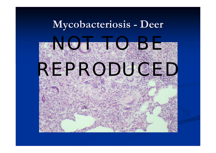#### **Mycobacteriosis Mycobacteriosis - Deer**